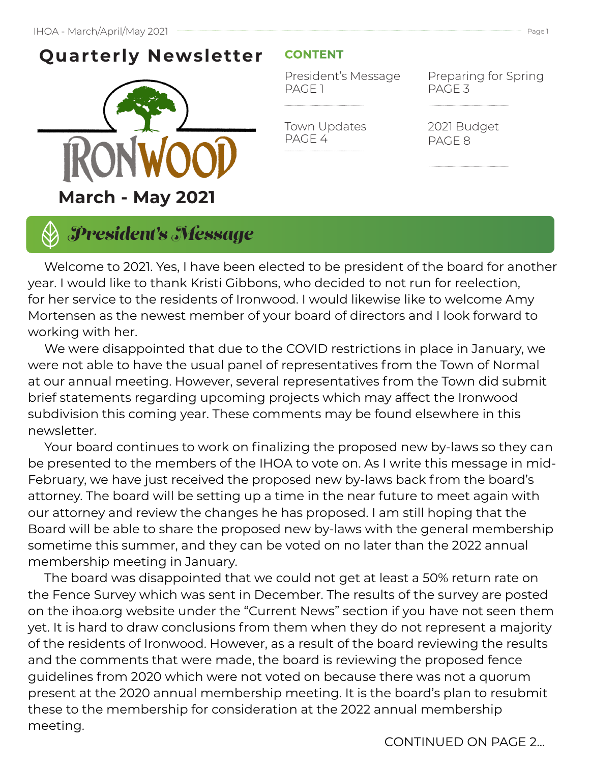# **Quarterly Newsletter**



#### **CONTENT**

Town Updates

PAGE 4

President's Message PAGE 1

Preparing for Spring PAGE 3

2021 Budget PAGE 8

*President's Message*

 Welcome to 2021. Yes, I have been elected to be president of the board for another year. I would like to thank Kristi Gibbons, who decided to not run for reelection, for her service to the residents of Ironwood. I would likewise like to welcome Amy Mortensen as the newest member of your board of directors and I look forward to working with her.

 We were disappointed that due to the COVID restrictions in place in January, we were not able to have the usual panel of representatives from the Town of Normal at our annual meeting. However, several representatives from the Town did submit brief statements regarding upcoming projects which may affect the Ironwood subdivision this coming year. These comments may be found elsewhere in this newsletter.

 Your board continues to work on finalizing the proposed new by-laws so they can be presented to the members of the IHOA to vote on. As I write this message in mid-February, we have just received the proposed new by-laws back from the board's attorney. The board will be setting up a time in the near future to meet again with our attorney and review the changes he has proposed. I am still hoping that the Board will be able to share the proposed new by-laws with the general membership sometime this summer, and they can be voted on no later than the 2022 annual membership meeting in January.

 The board was disappointed that we could not get at least a 50% return rate on the Fence Survey which was sent in December. The results of the survey are posted on the ihoa.org website under the "Current News" section if you have not seen them yet. It is hard to draw conclusions from them when they do not represent a majority of the residents of Ironwood. However, as a result of the board reviewing the results and the comments that were made, the board is reviewing the proposed fence guidelines from 2020 which were not voted on because there was not a quorum present at the 2020 annual membership meeting. It is the board's plan to resubmit these to the membership for consideration at the 2022 annual membership meeting.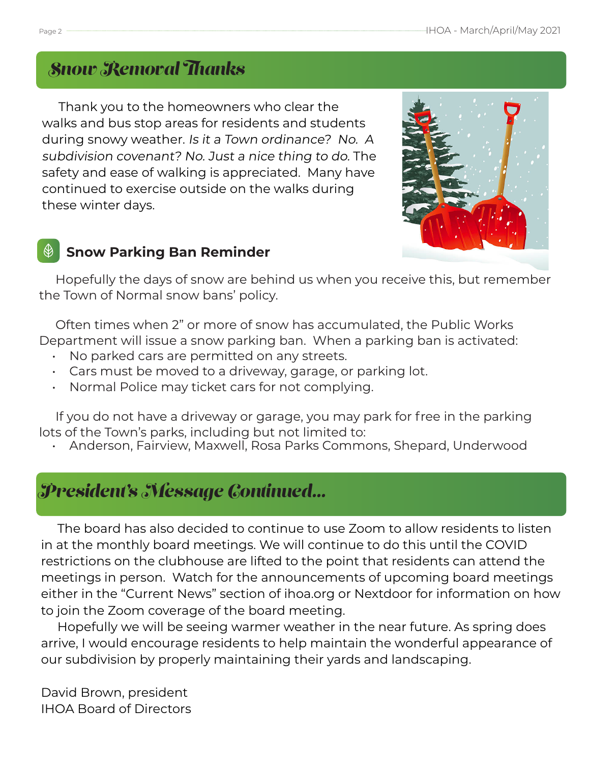### *Snow Removal Thanks*

 Thank you to the homeowners who clear the walks and bus stop areas for residents and students during snowy weather. Is it a Town ordinance? No. A subdivision covenant? No. Just a nice thing to do. The safety and ease of walking is appreciated. Many have continued to exercise outside on the walks during these winter days.



#### **Snow Parking Ban Reminder**

 Hopefully the days of snow are behind us when you receive this, but remember the Town of Normal snow bans' policy.

 Often times when 2" or more of snow has accumulated, the Public Works Department will issue a snow parking ban. When a parking ban is activated:

- No parked cars are permitted on any streets.
- Cars must be moved to a driveway, garage, or parking lot.
- Normal Police may ticket cars for not complying.

 If you do not have a driveway or garage, you may park for free in the parking lots of the Town's parks, including but not limited to:

• Anderson, Fairview, Maxwell, Rosa Parks Commons, Shepard, Underwood

### *President's Message Continued...*

 The board has also decided to continue to use Zoom to allow residents to listen in at the monthly board meetings. We will continue to do this until the COVID restrictions on the clubhouse are lifted to the point that residents can attend the meetings in person. Watch for the announcements of upcoming board meetings either in the "Current News" section of ihoa.org or Nextdoor for information on how to join the Zoom coverage of the board meeting.

 Hopefully we will be seeing warmer weather in the near future. As spring does arrive, I would encourage residents to help maintain the wonderful appearance of our subdivision by properly maintaining their yards and landscaping.

David Brown, president IHOA Board of Directors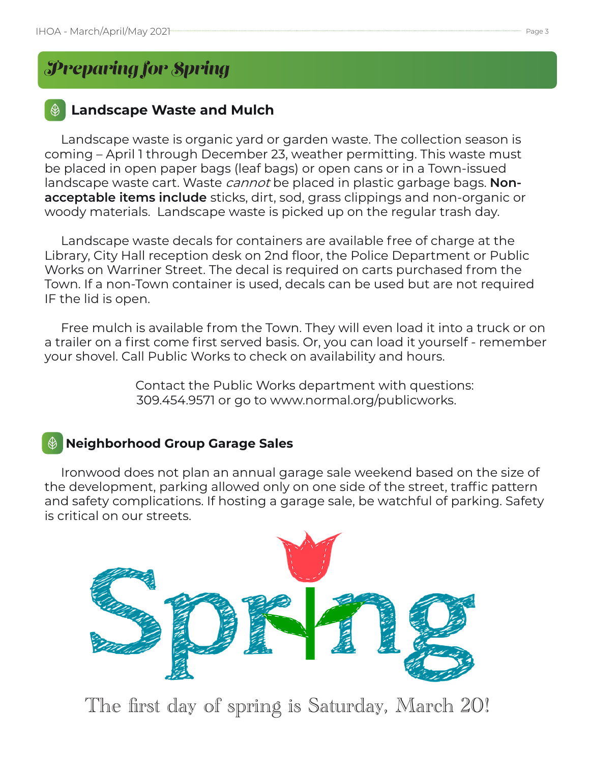### *Preparing for Spring*

#### **Landscape Waste and Mulch**

 Landscape waste is organic yard or garden waste. The collection season is coming – April 1 through December 23, weather permitting. This waste must be placed in open paper bags (leaf bags) or open cans or in a Town-issued landscape waste cart. Waste cannot be placed in plastic garbage bags. **Nonacceptable items include** sticks, dirt, sod, grass clippings and non-organic or woody materials. Landscape waste is picked up on the regular trash day.

 Landscape waste decals for containers are available free of charge at the Library, City Hall reception desk on 2nd floor, the Police Department or Public Works on Warriner Street. The decal is required on carts purchased from the Town. If a non-Town container is used, decals can be used but are not required IF the lid is open.

 Free mulch is available from the Town. They will even load it into a truck or on a trailer on a first come first served basis. Or, you can load it yourself - remember your shovel. Call Public Works to check on availability and hours.

> Contact the Public Works department with questions: 309.454.9571 or go to www.normal.org/publicworks.

#### **Neighborhood Group Garage Sales**

 Ironwood does not plan an annual garage sale weekend based on the size of the development, parking allowed only on one side of the street, traffic pattern and safety complications. If hosting a garage sale, be watchful of parking. Safety is critical on our streets.



The first day of spring is Saturday, March 20!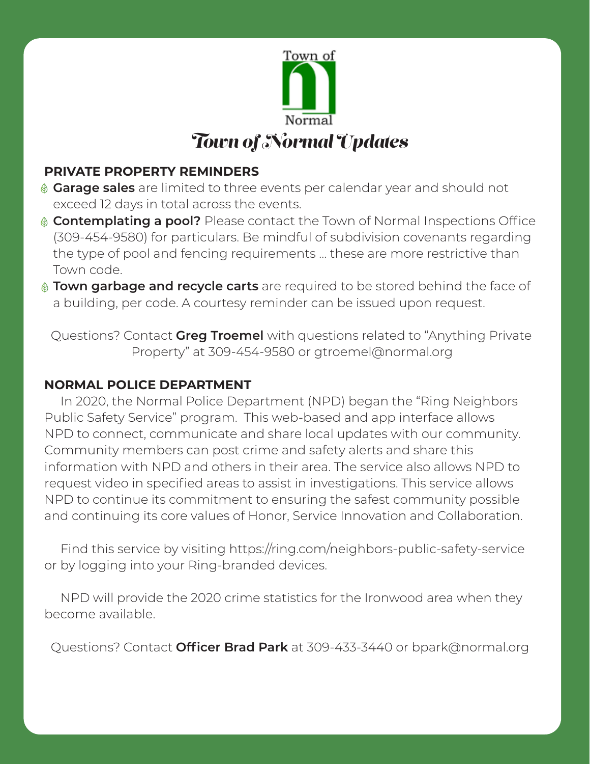

#### **PRIVATE PROPERTY REMINDERS**

- **Garage sales** are limited to three events per calendar year and should not exceed 12 days in total across the events.
- **Contemplating a pool?** Please contact the Town of Normal Inspections Office (309-454-9580) for particulars. Be mindful of subdivision covenants regarding the type of pool and fencing requirements … these are more restrictive than Town code.
- **Town garbage and recycle carts** are required to be stored behind the face of a building, per code. A courtesy reminder can be issued upon request.

 Questions? Contact **Greg Troemel** with questions related to "Anything Private Property" at 309-454-9580 or gtroemel@normal.org

#### **NORMAL POLICE DEPARTMENT**

 In 2020, the Normal Police Department (NPD) began the "Ring Neighbors Public Safety Service" program. This web-based and app interface allows NPD to connect, communicate and share local updates with our community. Community members can post crime and safety alerts and share this information with NPD and others in their area. The service also allows NPD to request video in specified areas to assist in investigations. This service allows NPD to continue its commitment to ensuring the safest community possible and continuing its core values of Honor, Service Innovation and Collaboration.

 Find this service by visiting https://ring.com/neighbors-public-safety-service or by logging into your Ring-branded devices.

 NPD will provide the 2020 crime statistics for the Ironwood area when they become available.

Questions? Contact **Officer Brad Park** at 309-433-3440 or bpark@normal.org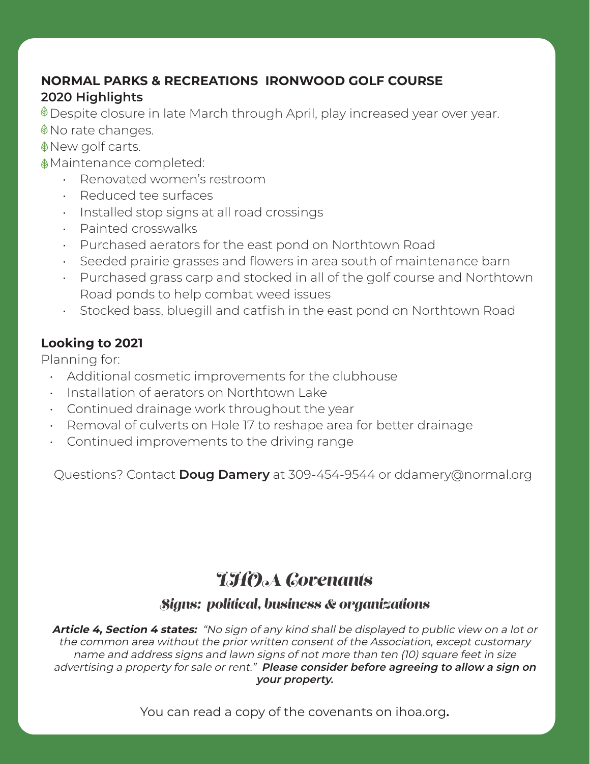#### **NORMAL PARKS & RECREATIONS IRONWOOD GOLF COURSE 2020 Highlights**

 $\textcircled{\tiny{\textcirc}}$  Despite closure in late March through April, play increased year over year. ♦ No rate changes.

New golf carts.

Maintenance completed:

- Renovated women's restroom
- Reduced tee surfaces
- Installed stop signs at all road crossings
- Painted crosswalks
- Purchased aerators for the east pond on Northtown Road
- Seeded prairie grasses and flowers in area south of maintenance barn
- Purchased grass carp and stocked in all of the golf course and Northtown Road ponds to help combat weed issues
- Stocked bass, bluegill and catfish in the east pond on Northtown Road

#### **Looking to 2021**

Planning for:

- Additional cosmetic improvements for the clubhouse
- Installation of aerators on Northtown Lake
- Continued drainage work throughout the year
- Removal of culverts on Hole 17 to reshape area for better drainage
- Continued improvements to the driving range

Questions? Contact **Doug Damery** at 309-454-9544 or ddamery@normal.org

### *IHOA Covenants*

#### *Signs: political, business & organizations*

**Article 4, Section 4 states:** "No sign of any kind shall be displayed to public view on a lot or the common area without the prior written consent of the Association, except customary name and address signs and lawn signs of not more than ten (10) square feet in size advertising a property for sale or rent." **Please consider before agreeing to allow a sign on your property.**

You can read a copy of the covenants on ihoa.org**.**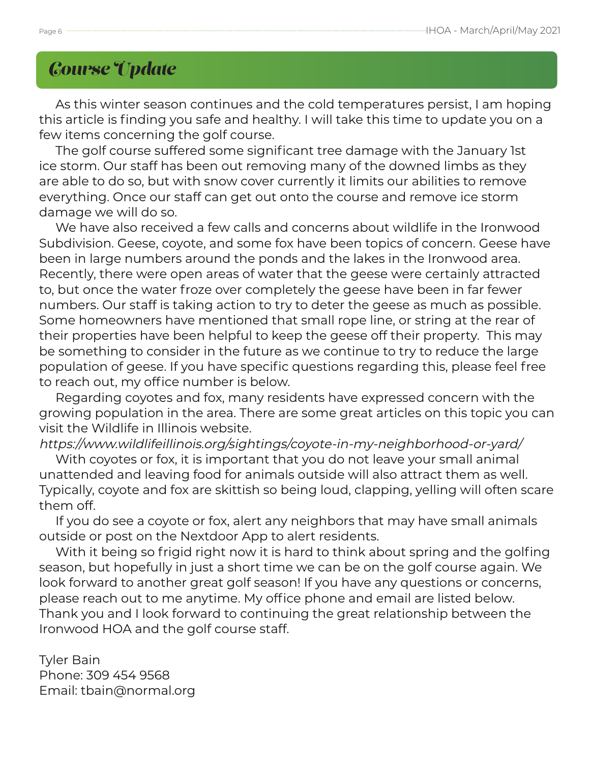### *Course Update*

 As this winter season continues and the cold temperatures persist, I am hoping this article is finding you safe and healthy. I will take this time to update you on a few items concerning the golf course.

 The golf course suffered some significant tree damage with the January 1st ice storm. Our staff has been out removing many of the downed limbs as they are able to do so, but with snow cover currently it limits our abilities to remove everything. Once our staff can get out onto the course and remove ice storm damage we will do so.

 We have also received a few calls and concerns about wildlife in the Ironwood Subdivision. Geese, coyote, and some fox have been topics of concern. Geese have been in large numbers around the ponds and the lakes in the Ironwood area. Recently, there were open areas of water that the geese were certainly attracted to, but once the water froze over completely the geese have been in far fewer numbers. Our staff is taking action to try to deter the geese as much as possible. Some homeowners have mentioned that small rope line, or string at the rear of their properties have been helpful to keep the geese off their property. This may be something to consider in the future as we continue to try to reduce the large population of geese. If you have specific questions regarding this, please feel free to reach out, my office number is below.

 Regarding coyotes and fox, many residents have expressed concern with the growing population in the area. There are some great articles on this topic you can visit the Wildlife in Illinois website.

https://www.wildlifeillinois.org/sightings/coyote-in-my-neighborhood-or-yard/

 With coyotes or fox, it is important that you do not leave your small animal unattended and leaving food for animals outside will also attract them as well. Typically, coyote and fox are skittish so being loud, clapping, yelling will often scare them off.

 If you do see a coyote or fox, alert any neighbors that may have small animals outside or post on the Nextdoor App to alert residents.

 With it being so frigid right now it is hard to think about spring and the golfing season, but hopefully in just a short time we can be on the golf course again. We look forward to another great golf season! If you have any questions or concerns, please reach out to me anytime. My office phone and email are listed below. Thank you and I look forward to continuing the great relationship between the Ironwood HOA and the golf course staff.

Tyler Bain Phone: 309 454 9568 Email: tbain@normal.org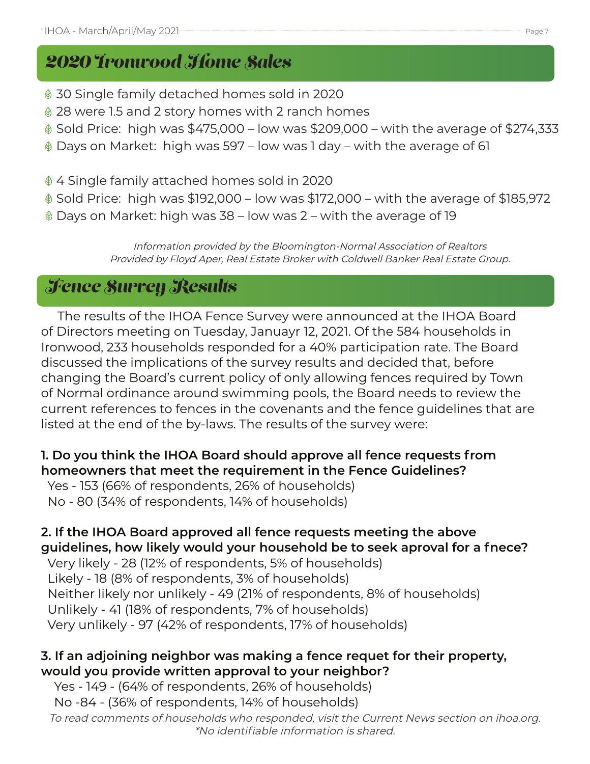### *2020 Ironwood Home Sales*

- 30 Single family detached homes sold in 2020
- 28 were 1.5 and 2 story homes with 2 ranch homes
- $\textcircled{ }$  Sold Price: high was \$475,000 low was \$209,000 with the average of \$274,333
- Days on Market: high was 597 low was 1 day with the average of 61
- 4 Single family attached homes sold in 2020
- $\textcircled{}$  Sold Price: high was \$192,000 low was \$172,000 with the average of \$185,972
- Days on Market: high was 38 low was 2 with the average of 19

Information provided by the Bloomington-Normal Association of Realtors Provided by Floyd Aper, Real Estate Broker with Coldwell Banker Real Estate Group.

### *Fence Survey Results*

 The results of the IHOA Fence Survey were announced at the IHOA Board of Directors meeting on Tuesday, Januayr 12, 2021. Of the 584 households in Ironwood, 233 households responded for a 40% participation rate. The Board discussed the implications of the survey results and decided that, before changing the Board's current policy of only allowing fences required by Town of Normal ordinance around swimming pools, the Board needs to review the current references to fences in the covenants and the fence guidelines that are listed at the end of the by-laws. The results of the survey were:

#### **1. Do you think the IHOA Board should approve all fence requests from homeowners that meet the requirement in the Fence Guidelines?**

 Yes - 153 (66% of respondents, 26% of households) No - 80 (34% of respondents, 14% of households)

#### **2. If the IHOA Board approved all fence requests meeting the above guidelines, how likely would your household be to seek aproval for a fnece?**

 Very likely - 28 (12% of respondents, 5% of households) Likely - 18 (8% of respondents, 3% of households) Neither likely nor unlikely - 49 (21% of respondents, 8% of households) Unlikely - 41 (18% of respondents, 7% of households) Very unlikely - 97 (42% of respondents, 17% of households)

#### **3. If an adjoining neighbor was making a fence requet for their property, would you provide written approval to your neighbor?**

 Yes - 149 - (64% of respondents, 26% of households) No -84 - (36% of respondents, 14% of households)

To read comments of households who responded, visit the Current News section on ihoa.org. \*No identifiable information is shared.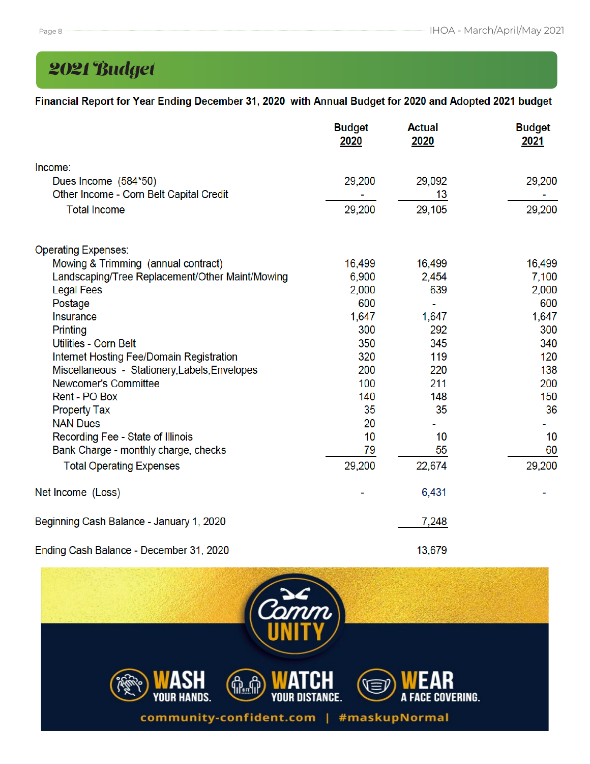## *2021 Budget*

#### Financial Report for Year Ending December 31, 2020 with Annual Budget for 2020 and Adopted 2021 budget

|                                                 | <b>Budget</b><br>2020 | <b>Actual</b><br>2020 | <b>Budget</b><br>2021 |
|-------------------------------------------------|-----------------------|-----------------------|-----------------------|
| Income:                                         |                       |                       |                       |
| Dues Income (584*50)                            | 29,200                | 29,092                | 29,200                |
| Other Income - Corn Belt Capital Credit         |                       | 13                    |                       |
| <b>Total Income</b>                             | 29,200                | 29,105                | 29,200                |
| <b>Operating Expenses:</b>                      |                       |                       |                       |
| Mowing & Trimming (annual contract)             | 16,499                | 16,499                | 16,499                |
| Landscaping/Tree Replacement/Other Maint/Mowing | 6,900                 | 2,454                 | 7,100                 |
| <b>Legal Fees</b>                               | 2,000                 | 639                   | 2,000                 |
| Postage                                         | 600                   |                       | 600                   |
| Insurance                                       | 1,647                 | 1,647                 | 1,647                 |
| Printing                                        | 300                   | 292                   | 300                   |
| <b>Utilities - Corn Belt</b>                    | 350                   | 345                   | 340                   |
| Internet Hosting Fee/Domain Registration        | 320                   | 119                   | 120                   |
| Miscellaneous - Stationery, Labels, Envelopes   | 200                   | 220                   | 138                   |
| Newcomer's Committee                            | 100                   | 211                   | 200                   |
| Rent - PO Box                                   | 140                   | 148                   | 150                   |
| <b>Property Tax</b>                             | 35                    | 35                    | 36                    |
| <b>NAN Dues</b>                                 | 20                    |                       |                       |
| Recording Fee - State of Illinois               | 10                    | 10                    | 10                    |
| Bank Charge - monthly charge, checks            | 79                    | 55                    | 60                    |
| <b>Total Operating Expenses</b>                 | 29,200                | 22,674                | 29,200                |
| Net Income (Loss)                               |                       | 6,431                 |                       |
| Beginning Cash Balance - January 1, 2020        |                       | 7,248                 |                       |
| Ending Cash Balance - December 31, 2020         |                       | 13,679                |                       |

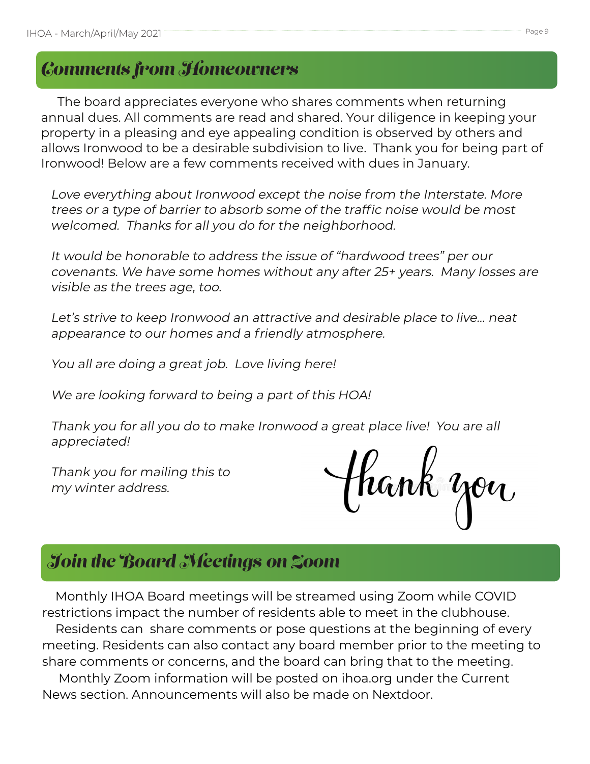### *Comments from Homeowners*

 The board appreciates everyone who shares comments when returning annual dues. All comments are read and shared. Your diligence in keeping your property in a pleasing and eye appealing condition is observed by others and allows Ironwood to be a desirable subdivision to live. Thank you for being part of Ironwood! Below are a few comments received with dues in January.

 Love everything about Ironwood except the noise from the Interstate. More trees or a type of barrier to absorb some of the traffic noise would be most welcomed. Thanks for all you do for the neighborhood.

 It would be honorable to address the issue of "hardwood trees" per our covenants. We have some homes without any after 25+ years. Many losses are visible as the trees age, too.

 Let's strive to keep Ironwood an attractive and desirable place to live… neat appearance to our homes and a friendly atmosphere.

You all are doing a great job. Love living here!

We are looking forward to being a part of this HOA!

 Thank you for all you do to make Ironwood a great place live! You are all appreciated!

 Thank you for mailing this to my winter address.

thank you

## *Join the Board Meetings on Zoom*

 Monthly IHOA Board meetings will be streamed using Zoom while COVID restrictions impact the number of residents able to meet in the clubhouse.

 Residents can share comments or pose questions at the beginning of every meeting. Residents can also contact any board member prior to the meeting to share comments or concerns, and the board can bring that to the meeting.

 Monthly Zoom information will be posted on ihoa.org under the Current News section. Announcements will also be made on Nextdoor.